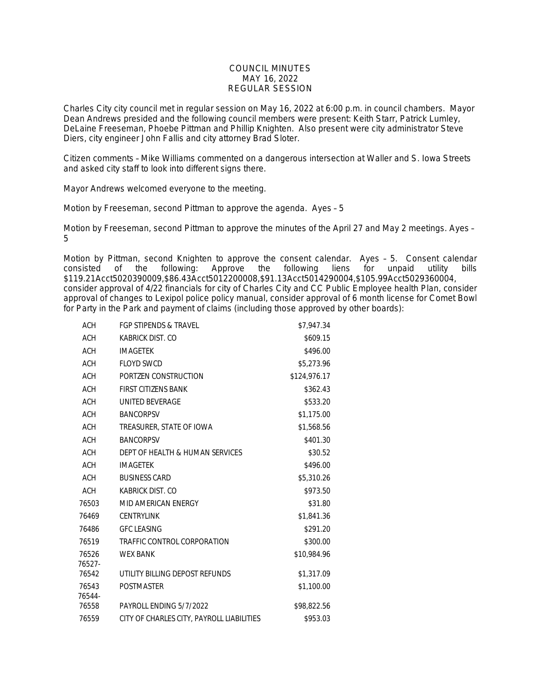## COUNCIL MINUTES MAY 16, 2022 REGULAR SESSION

Charles City city council met in regular session on May 16, 2022 at 6:00 p.m. in council chambers. Mayor Dean Andrews presided and the following council members were present: Keith Starr, Patrick Lumley, DeLaine Freeseman, Phoebe Pittman and Phillip Knighten. Also present were city administrator Steve Diers, city engineer John Fallis and city attorney Brad Sloter.

Citizen comments – Mike Williams commented on a dangerous intersection at Waller and S. Iowa Streets and asked city staff to look into different signs there.

Mayor Andrews welcomed everyone to the meeting.

Motion by Freeseman, second Pittman to approve the agenda. Ayes – 5

Motion by Freeseman, second Pittman to approve the minutes of the April 27 and May 2 meetings. Ayes – 5

Motion by Pittman, second Knighten to approve the consent calendar. Ayes - 5. Consent calendar consisted of the following: Approve the following liens for unpaid utility bills the following liens for unpaid utility bills \$119.21Acct5020390009,\$86.43Acct5012200008,\$91.13Acct5014290004,\$105.99Acct5029360004, consider approval of 4/22 financials for city of Charles City and CC Public Employee health Plan, consider approval of changes to Lexipol police policy manual, consider approval of 6 month license for Comet Bowl for Party in the Park and payment of claims (including those approved by other boards):

| ACH        | FGP STIPENDS & TRAVEL                     | \$7,947.34   |
|------------|-------------------------------------------|--------------|
| <b>ACH</b> | KABRICK DIST. CO                          | \$609.15     |
| <b>ACH</b> | <b>IMAGETEK</b>                           | \$496.00     |
| <b>ACH</b> | <b>FLOYD SWCD</b>                         | \$5,273.96   |
| <b>ACH</b> | PORTZEN CONSTRUCTION                      | \$124,976.17 |
| <b>ACH</b> | <b>FIRST CITIZENS BANK</b>                | \$362.43     |
| <b>ACH</b> | UNITED BEVERAGE                           | \$533.20     |
| <b>ACH</b> | <b>BANCORPSV</b>                          | \$1,175.00   |
| <b>ACH</b> | TREASURER, STATE OF IOWA                  | \$1,568.56   |
| <b>ACH</b> | <b>BANCORPSV</b>                          | \$401.30     |
| <b>ACH</b> | DEPT OF HEALTH & HUMAN SERVICES           | \$30.52      |
| <b>ACH</b> | <b>IMAGETEK</b>                           | \$496.00     |
| <b>ACH</b> | <b>BUSINESS CARD</b>                      | \$5,310.26   |
| <b>ACH</b> | KABRICK DIST. CO                          | \$973.50     |
| 76503      | MID AMERICAN ENERGY                       | \$31.80      |
| 76469      | <b>CENTRYLINK</b>                         | \$1,841.36   |
| 76486      | <b>GFC LEASING</b>                        | \$291.20     |
| 76519      | TRAFFIC CONTROL CORPORATION               | \$300.00     |
| 76526      | <b>WEX BANK</b>                           | \$10,984.96  |
| 76527-     |                                           |              |
| 76542      | UTILITY BILLING DEPOST REFUNDS            | \$1,317.09   |
| 76543      | <b>POSTMASTER</b>                         | \$1,100.00   |
| 76544-     |                                           |              |
| 76558      | PAYROLL ENDING 5/7/2022                   | \$98,822.56  |
| 76559      | CITY OF CHARLES CITY, PAYROLL LIABILITIES | \$953.03     |
|            |                                           |              |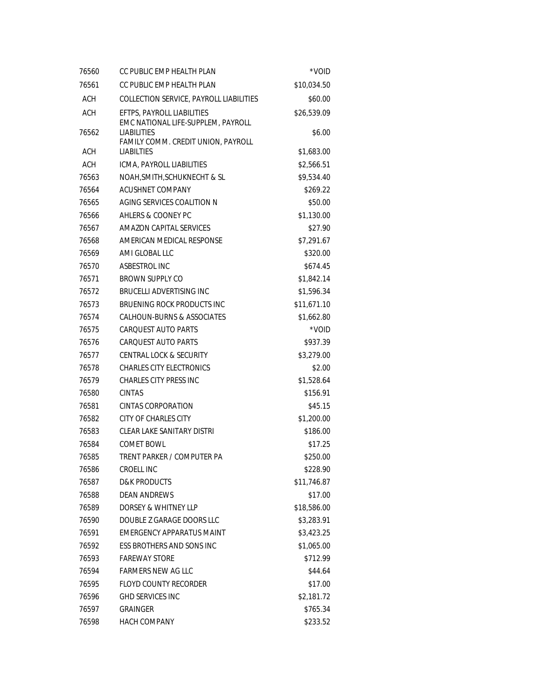| 76560      | CC PUBLIC EMP HEALTH PLAN                                        | *VOID       |
|------------|------------------------------------------------------------------|-------------|
| 76561      | CC PUBLIC EMP HEALTH PLAN                                        | \$10,034.50 |
| ACH        | COLLECTION SERVICE, PAYROLL LIABILITIES                          | \$60.00     |
| <b>ACH</b> | EFTPS, PAYROLL LIABILITIES<br>EMC NATIONAL LIFE-SUPPLEM, PAYROLL | \$26,539.09 |
| 76562      | <b>LIABILITIES</b><br>FAMILY COMM. CREDIT UNION, PAYROLL         | \$6.00      |
| ACH        | <b>LIABILTIES</b>                                                | \$1,683.00  |
| <b>ACH</b> | ICMA, PAYROLL LIABILITIES                                        | \$2,566.51  |
| 76563      | NOAH, SMITH, SCHUKNECHT & SL                                     | \$9,534.40  |
| 76564      | ACUSHNET COMPANY                                                 | \$269.22    |
| 76565      | AGING SERVICES COALITION N                                       | \$50.00     |
| 76566      | AHLERS & COONEY PC                                               | \$1,130.00  |
| 76567      | AMAZON CAPITAL SERVICES                                          | \$27.90     |
| 76568      | AMERICAN MEDICAL RESPONSE                                        | \$7,291.67  |
| 76569      | AMI GLOBAL LLC                                                   | \$320.00    |
| 76570      | ASBESTROL INC                                                    | \$674.45    |
| 76571      | <b>BROWN SUPPLY CO</b>                                           | \$1,842.14  |
| 76572      | <b>BRUCELLI ADVERTISING INC</b>                                  | \$1,596.34  |
| 76573      | BRUENING ROCK PRODUCTS INC                                       | \$11,671.10 |
| 76574      | CALHOUN-BURNS & ASSOCIATES                                       | \$1,662.80  |
| 76575      | CARQUEST AUTO PARTS                                              | *VOID       |
| 76576      | <b>CARQUEST AUTO PARTS</b>                                       | \$937.39    |
| 76577      | <b>CENTRAL LOCK &amp; SECURITY</b>                               | \$3,279.00  |
| 76578      | <b>CHARLES CITY ELECTRONICS</b>                                  | \$2.00      |
| 76579      | <b>CHARLES CITY PRESS INC</b>                                    | \$1,528.64  |
| 76580      | <b>CINTAS</b>                                                    | \$156.91    |
| 76581      | CINTAS CORPORATION                                               | \$45.15     |
| 76582      | <b>CITY OF CHARLES CITY</b>                                      | \$1,200.00  |
| 76583      | <b>CLEAR LAKE SANITARY DISTRI</b>                                | \$186.00    |
| 76584      | <b>COMET BOWL</b>                                                | \$17.25     |
| 76585      | TRENT PARKER / COMPUTER PA                                       | \$250.00    |
| 76586      | CROELL INC                                                       | \$228.90    |
| 76587      | <b>D&amp;K PRODUCTS</b>                                          | \$11,746.87 |
| 76588      | <b>DEAN ANDREWS</b>                                              | \$17.00     |
| 76589      | DORSEY & WHITNEY LLP                                             | \$18,586.00 |
| 76590      | DOUBLE Z GARAGE DOORS LLC                                        | \$3,283.91  |
| 76591      | EMERGENCY APPARATUS MAINT                                        | \$3,423.25  |
| 76592      | ESS BROTHERS AND SONS INC                                        | \$1,065.00  |
| 76593      | <b>FAREWAY STORE</b>                                             | \$712.99    |
| 76594      | <b>FARMERS NEW AG LLC</b>                                        | \$44.64     |
| 76595      | <b>FLOYD COUNTY RECORDER</b>                                     | \$17.00     |
| 76596      | <b>GHD SERVICES INC</b>                                          | \$2,181.72  |
| 76597      | <b>GRAINGER</b>                                                  | \$765.34    |
| 76598      | <b>HACH COMPANY</b>                                              | \$233.52    |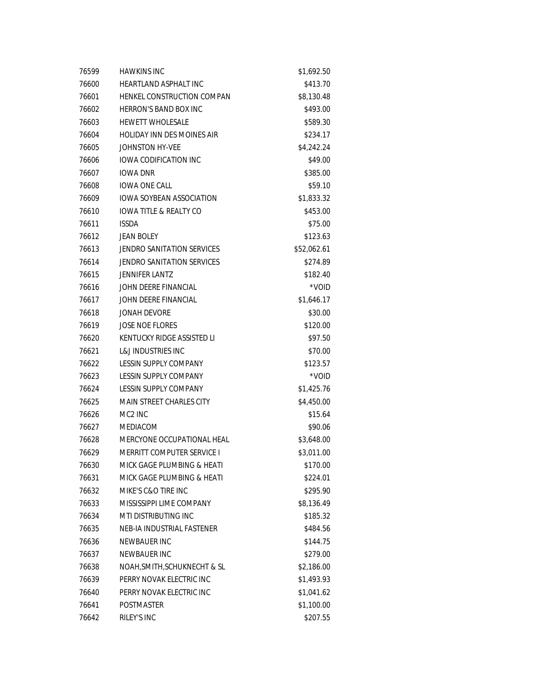| 76599 | <b>HAWKINS INC</b>           | \$1,692.50  |
|-------|------------------------------|-------------|
| 76600 | HEARTLAND ASPHALT INC        | \$413.70    |
| 76601 | HENKEL CONSTRUCTION COMPAN   | \$8,130.48  |
| 76602 | <b>HERRON'S BAND BOX INC</b> | \$493.00    |
| 76603 | <b>HEWETT WHOLESALE</b>      | \$589.30    |
| 76604 | HOLIDAY INN DES MOINES AIR   | \$234.17    |
| 76605 | JOHNSTON HY-VEE              | \$4,242.24  |
| 76606 | <b>IOWA CODIFICATION INC</b> | \$49.00     |
| 76607 | <b>IOWA DNR</b>              | \$385.00    |
| 76608 | <b>IOWA ONE CALL</b>         | \$59.10     |
| 76609 | IOWA SOYBEAN ASSOCIATION     | \$1,833.32  |
| 76610 | IOWA TITLE & REALTY CO       | \$453.00    |
| 76611 | <b>ISSDA</b>                 | \$75.00     |
| 76612 | <b>JEAN BOLEY</b>            | \$123.63    |
| 76613 | JENDRO SANITATION SERVICES   | \$52,062.61 |
| 76614 | JENDRO SANITATION SERVICES   | \$274.89    |
| 76615 | <b>JENNIFER LANTZ</b>        | \$182.40    |
| 76616 | JOHN DEERE FINANCIAL         | *VOID       |
| 76617 | JOHN DEERE FINANCIAL         | \$1,646.17  |
| 76618 | <b>JONAH DEVORE</b>          | \$30.00     |
| 76619 | <b>JOSE NOE FLORES</b>       | \$120.00    |
| 76620 | KENTUCKY RIDGE ASSISTED LI   | \$97.50     |
| 76621 | L&J INDUSTRIES INC           | \$70.00     |
| 76622 | LESSIN SUPPLY COMPANY        | \$123.57    |
| 76623 | LESSIN SUPPLY COMPANY        | *VOID       |
| 76624 | LESSIN SUPPLY COMPANY        | \$1,425.76  |
| 76625 | MAIN STREET CHARLES CITY     | \$4,450.00  |
| 76626 | MC <sub>2</sub> INC          | \$15.64     |
| 76627 | <b>MEDIACOM</b>              | \$90.06     |
| 76628 | MERCYONE OCCUPATIONAL HEAL   | \$3,648.00  |
| 76629 | MERRITT COMPUTER SERVICE I   | \$3,011.00  |
| 76630 | MICK GAGE PLUMBING & HEATI   | \$170.00    |
| 76631 | MICK GAGE PLUMBING & HEATI   | \$224.01    |
| 76632 | MIKE'S C&O TIRE INC          | \$295.90    |
| 76633 | MISSISSIPPI LIME COMPANY     | \$8,136.49  |
| 76634 | MTI DISTRIBUTING INC         | \$185.32    |
| 76635 | NEB-IA INDUSTRIAL FASTENER   | \$484.56    |
| 76636 | NEWBAUER INC                 | \$144.75    |
| 76637 | NEWBAUER INC                 | \$279.00    |
| 76638 | NOAH, SMITH, SCHUKNECHT & SL | \$2,186.00  |
| 76639 | PERRY NOVAK ELECTRIC INC     | \$1,493.93  |
| 76640 | PERRY NOVAK ELECTRIC INC     | \$1,041.62  |
| 76641 | <b>POSTMASTER</b>            | \$1,100.00  |
| 76642 | RILEY'S INC                  | \$207.55    |
|       |                              |             |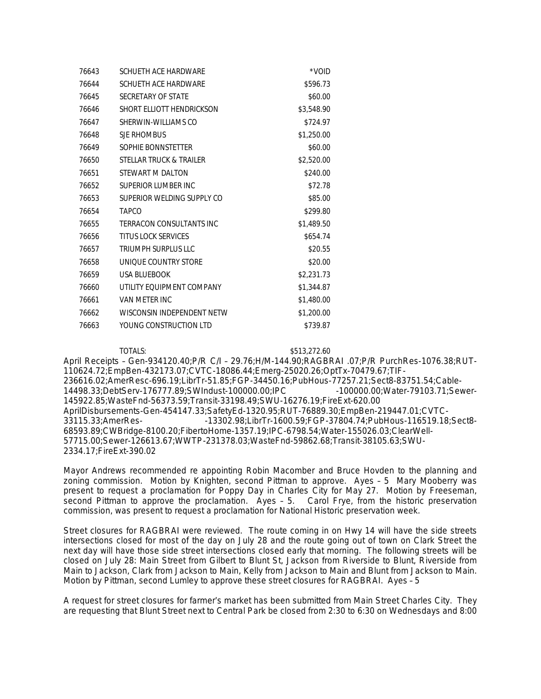| 76643 | SCHUETH ACE HARDWARE       | *VOID      |
|-------|----------------------------|------------|
| 76644 | SCHUETH ACE HARDWARE       | \$596.73   |
| 76645 | SECRETARY OF STATE         | \$60.00    |
| 76646 | SHORT ELLIOTT HENDRICKSON  | \$3,548.90 |
| 76647 | SHERWIN-WILLIAMS CO        | \$724.97   |
| 76648 | SJE RHOMBUS                | \$1,250.00 |
| 76649 | SOPHIE BONNSTETTER         | \$60.00    |
| 76650 | STELLAR TRUCK & TRAILER    | \$2,520.00 |
| 76651 | STEWART M DALTON           | \$240.00   |
| 76652 | SUPERIOR LUMBER INC        | \$72.78    |
| 76653 | SUPERIOR WELDING SUPPLY CO | \$85.00    |
| 76654 | <b>TAPCO</b>               | \$299.80   |
| 76655 | TERRACON CONSULTANTS INC   | \$1,489.50 |
| 76656 | <b>TITUS LOCK SERVICES</b> | \$654.74   |
| 76657 | TRIUMPH SURPLUS LLC        | \$20.55    |
| 76658 | UNIOUE COUNTRY STORE       | \$20.00    |
| 76659 | USA BLUEBOOK               | \$2,231.73 |
| 76660 | UTILITY EQUIPMENT COMPANY  | \$1,344.87 |
| 76661 | VAN METER INC              | \$1,480.00 |
| 76662 | WISCONSIN INDEPENDENT NETW | \$1,200.00 |
| 76663 | YOUNG CONSTRUCTION LTD     | \$739.87   |

TOTALS: \$513,272.60 April Receipts – Gen-934120.40;P/R C/I – 29.76;H/M-144.90;RAGBRAI .07;P/R PurchRes-1076.38;RUT-110624.72;EmpBen-432173.07;CVTC-18086.44;Emerg-25020.26;OptTx-70479.67;TIF-236616.02;AmerResc-696.19;LibrTr-51.85;FGP-34450.16;PubHous-77257.21;Sect8-83751.54;Cable-14498.33;DebtServ-176777.89;SWIndust-100000.00;IPC 145922.85;WasteFnd-56373.59;Transit-33198.49;SWU-16276.19;FireExt-620.00 AprilDisbursements-Gen-454147.33;SafetyEd-1320.95;RUT-76889.30;EmpBen-219447.01;CVTC-33115.33;AmerRes- -13302.98;LibrTr-1600.59;FGP-37804.74;PubHous-116519.18;Sect8- 68593.89;CWBridge-8100.20;FibertoHome-1357.19;IPC-6798.54;Water-155026.03;ClearWell-57715.00;Sewer-126613.67;WWTP-231378.03;WasteFnd-59862.68;Transit-38105.63;SWU-2334.17;FireExt-390.02

Mayor Andrews recommended re appointing Robin Macomber and Bruce Hovden to the planning and zoning commission. Motion by Knighten, second Pittman to approve. Ayes – 5 Mary Mooberry was present to request a proclamation for Poppy Day in Charles City for May 27. Motion by Freeseman, second Pittman to approve the proclamation. Ayes – 5. Carol Frye, from the historic preservation commission, was present to request a proclamation for National Historic preservation week.

Street closures for RAGBRAI were reviewed. The route coming in on Hwy 14 will have the side streets intersections closed for most of the day on July 28 and the route going out of town on Clark Street the next day will have those side street intersections closed early that morning. The following streets will be closed on July 28: Main Street from Gilbert to Blunt St, Jackson from Riverside to Blunt, Riverside from Main to Jackson, Clark from Jackson to Main, Kelly from Jackson to Main and Blunt from Jackson to Main. Motion by Pittman, second Lumley to approve these street closures for RAGBRAI. Ayes – 5

A request for street closures for farmer's market has been submitted from Main Street Charles City. They are requesting that Blunt Street next to Central Park be closed from 2:30 to 6:30 on Wednesdays and 8:00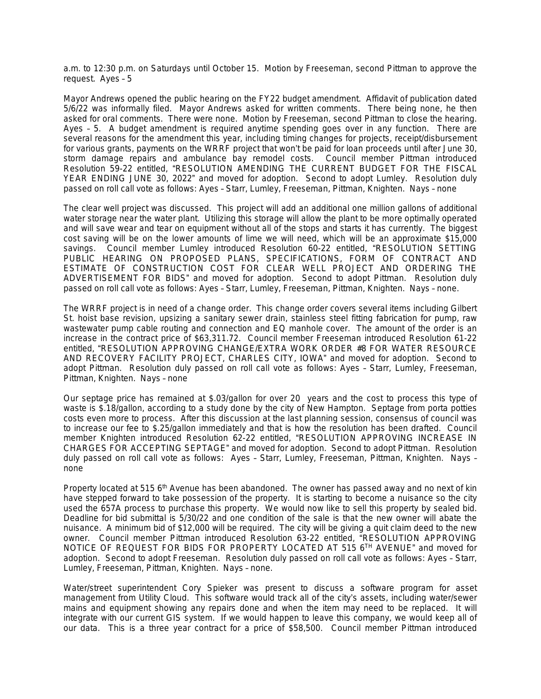a.m. to 12:30 p.m. on Saturdays until October 15. Motion by Freeseman, second Pittman to approve the request. Ayes – 5

Mayor Andrews opened the public hearing on the FY22 budget amendment. Affidavit of publication dated 5/6/22 was informally filed. Mayor Andrews asked for written comments. There being none, he then asked for oral comments. There were none. Motion by Freeseman, second Pittman to close the hearing. Ayes – 5. A budget amendment is required anytime spending goes over in any function. There are several reasons for the amendment this year, including timing changes for projects, receipt/disbursement for various grants, payments on the WRRF project that won't be paid for loan proceeds until after June 30, storm damage repairs and ambulance bay remodel costs. Council member Pittman introduced Resolution 59-22 entitled, "RESOLUTION AMENDING THE CURRENT BUDGET FOR THE FISCAL YEAR ENDING JUNE 30, 2022" and moved for adoption. Second to adopt Lumley. Resolution duly passed on roll call vote as follows: Ayes – Starr, Lumley, Freeseman, Pittman, Knighten. Nays – none

The clear well project was discussed. This project will add an additional one million gallons of additional water storage near the water plant. Utilizing this storage will allow the plant to be more optimally operated and will save wear and tear on equipment without all of the stops and starts it has currently. The biggest cost saving will be on the lower amounts of lime we will need, which will be an approximate \$15,000 savings. Council member Lumley introduced Resolution 60-22 entitled, "RESOLUTION SETTING PUBLIC HEARING ON PROPOSED PLANS, SPECIFICATIONS, FORM OF CONTRACT AND ESTIMATE OF CONSTRUCTION COST FOR CLEAR WELL PROJECT AND ORDERING THE ADVERTISEMENT FOR BIDS" and moved for adoption. Second to adopt Pittman. Resolution duly passed on roll call vote as follows: Ayes – Starr, Lumley, Freeseman, Pittman, Knighten. Nays – none.

The WRRF project is in need of a change order. This change order covers several items including Gilbert St. hoist base revision, upsizing a sanitary sewer drain, stainless steel fitting fabrication for pump, raw wastewater pump cable routing and connection and EQ manhole cover. The amount of the order is an increase in the contract price of \$63,311.72. Council member Freeseman introduced Resolution 61-22 entitled, "RESOLUTION APPROVING CHANGE/EXTRA WORK ORDER #8 FOR WATER RESOURCE AND RECOVERY FACILITY PROJECT, CHARLES CITY, IOWA" and moved for adoption. Second to adopt Pittman. Resolution duly passed on roll call vote as follows: Ayes – Starr, Lumley, Freeseman, Pittman, Knighten. Nays – none

Our septage price has remained at \$.03/gallon for over 20 years and the cost to process this type of waste is \$.18/gallon, according to a study done by the city of New Hampton. Septage from porta potties costs even more to process. After this discussion at the last planning session, consensus of council was to increase our fee to \$.25/gallon immediately and that is how the resolution has been drafted. Council member Knighten introduced Resolution 62-22 entitled, "RESOLUTION APPROVING INCREASE IN CHARGES FOR ACCEPTING SEPTAGE" and moved for adoption. Second to adopt Pittman. Resolution duly passed on roll call vote as follows: Ayes – Starr, Lumley, Freeseman, Pittman, Knighten. Nays – none

Property located at 515 6<sup>th</sup> Avenue has been abandoned. The owner has passed away and no next of kin have stepped forward to take possession of the property. It is starting to become a nuisance so the city used the 657A process to purchase this property. We would now like to sell this property by sealed bid. Deadline for bid submittal is 5/30/22 and one condition of the sale is that the new owner will abate the nuisance. A minimum bid of \$12,000 will be required. The city will be giving a quit claim deed to the new owner. Council member Pittman introduced Resolution 63-22 entitled, "RESOLUTION APPROVING NOTICE OF REQUEST FOR BIDS FOR PROPERTY LOCATED AT 515 6<sup>TH</sup> AVENUE" and moved for adoption. Second to adopt Freeseman. Resolution duly passed on roll call vote as follows: Ayes – Starr, Lumley, Freeseman, Pittman, Knighten. Nays – none.

Water/street superintendent Cory Spieker was present to discuss a software program for asset management from Utility Cloud. This software would track all of the city's assets, including water/sewer mains and equipment showing any repairs done and when the item may need to be replaced. It will integrate with our current GIS system. If we would happen to leave this company, we would keep all of our data. This is a three year contract for a price of \$58,500. Council member Pittman introduced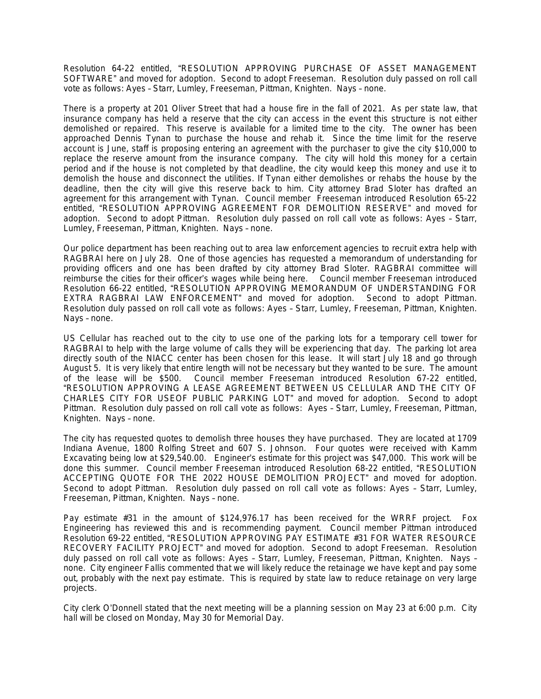Resolution 64-22 entitled, "RESOLUTION APPROVING PURCHASE OF ASSET MANAGEMENT SOFTWARE" and moved for adoption. Second to adopt Freeseman. Resolution duly passed on roll call vote as follows: Ayes – Starr, Lumley, Freeseman, Pittman, Knighten. Nays – none.

There is a property at 201 Oliver Street that had a house fire in the fall of 2021. As per state law, that insurance company has held a reserve that the city can access in the event this structure is not either demolished or repaired. This reserve is available for a limited time to the city. The owner has been approached Dennis Tynan to purchase the house and rehab it. Since the time limit for the reserve account is June, staff is proposing entering an agreement with the purchaser to give the city \$10,000 to replace the reserve amount from the insurance company. The city will hold this money for a certain period and if the house is not completed by that deadline, the city would keep this money and use it to demolish the house and disconnect the utilities. If Tynan either demolishes or rehabs the house by the deadline, then the city will give this reserve back to him. City attorney Brad Sloter has drafted an agreement for this arrangement with Tynan. Council member Freeseman introduced Resolution 65-22 entitled, "RESOLUTION APPROVING AGREEMENT FOR DEMOLITION RESERVE" and moved for adoption. Second to adopt Pittman. Resolution duly passed on roll call vote as follows: Ayes – Starr, Lumley, Freeseman, Pittman, Knighten. Nays – none.

Our police department has been reaching out to area law enforcement agencies to recruit extra help with RAGBRAI here on July 28. One of those agencies has requested a memorandum of understanding for providing officers and one has been drafted by city attorney Brad Sloter. RAGBRAI committee will reimburse the cities for their officer's wages while being here. Council member Freeseman introduced Resolution 66-22 entitled, "RESOLUTION APPROVING MEMORANDUM OF UNDERSTANDING FOR EXTRA RAGBRAI LAW ENFORCEMENT" and moved for adoption. Second to adopt Pittman. Resolution duly passed on roll call vote as follows: Ayes – Starr, Lumley, Freeseman, Pittman, Knighten. Nays – none.

US Cellular has reached out to the city to use one of the parking lots for a temporary cell tower for RAGBRAI to help with the large volume of calls they will be experiencing that day. The parking lot area directly south of the NIACC center has been chosen for this lease. It will start July 18 and go through August 5. It is very likely that entire length will not be necessary but they wanted to be sure. The amount of the lease will be \$500. Council member Freeseman introduced Resolution 67-22 entitled, Council member Freeseman introduced Resolution 67-22 entitled, "RESOLUTION APPROVING A LEASE AGREEMENT BETWEEN US CELLULAR AND THE CITY OF CHARLES CITY FOR USEOF PUBLIC PARKING LOT" and moved for adoption. Second to adopt Pittman. Resolution duly passed on roll call vote as follows: Ayes – Starr, Lumley, Freeseman, Pittman, Knighten. Nays – none.

The city has requested quotes to demolish three houses they have purchased. They are located at 1709 Indiana Avenue, 1800 Rolfing Street and 607 S. Johnson. Four quotes were received with Kamm Excavating being low at \$29,540.00. Engineer's estimate for this project was \$47,000. This work will be done this summer. Council member Freeseman introduced Resolution 68-22 entitled, "RESOLUTION ACCEPTING QUOTE FOR THE 2022 HOUSE DEMOLITION PROJECT" and moved for adoption. Second to adopt Pittman. Resolution duly passed on roll call vote as follows: Ayes – Starr, Lumley, Freeseman, Pittman, Knighten. Nays – none.

Pay estimate #31 in the amount of \$124,976.17 has been received for the WRRF project. Fox Engineering has reviewed this and is recommending payment. Council member Pittman introduced Resolution 69-22 entitled, "RESOLUTION APPROVING PAY ESTIMATE #31 FOR WATER RESOURCE RECOVERY FACILITY PROJECT" and moved for adoption. Second to adopt Freeseman. Resolution duly passed on roll call vote as follows: Ayes – Starr, Lumley, Freeseman, Pittman, Knighten. Nays – none. City engineer Fallis commented that we will likely reduce the retainage we have kept and pay some out, probably with the next pay estimate. This is required by state law to reduce retainage on very large projects.

City clerk O'Donnell stated that the next meeting will be a planning session on May 23 at 6:00 p.m. City hall will be closed on Monday, May 30 for Memorial Day.